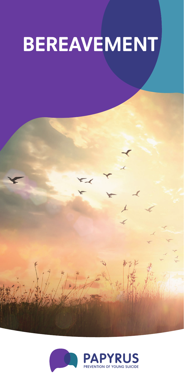# **BEREAVEMENT**

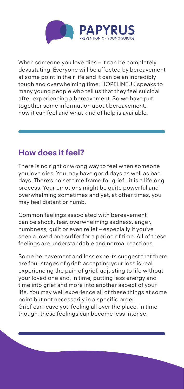

When someone you love dies – it can be completely devastating. Everyone will be affected by bereavement at some point in their life and it can be an incredibly tough and overwhelming time. HOPELINEUK speaks to many young people who tell us that they feel suicidal after experiencing a bereavement. So we have put together some information about bereavement, how it can feel and what kind of help is available.

## **How does it feel?**

There is no right or wrong way to feel when someone you love dies. You may have good days as well as bad days. There's no set time frame for grief - it is a lifelong process. Your emotions might be quite powerful and overwhelming sometimes and yet, at other times, you may feel distant or numb.

Common feelings associated with bereavement can be shock, fear, overwhelming sadness, anger, numbness, guilt or even relief – especially if you've seen a loved one suffer for a period of time. All of these feelings are understandable and normal reactions.

Some bereavement and loss experts suggest that there are four stages of grief: accepting your loss is real, experiencing the pain of grief, adjusting to life without your loved one and, in time, putting less energy and time into grief and more into another aspect of your life. You may well experience all of these things at some point but not necessarily in a specific order. Grief can leave you feeling all over the place. In time though, these feelings can become less intense.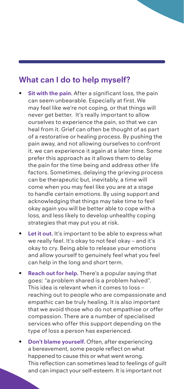## **What can I do to help myself?**

- **Sit with the pain.** After a significant loss, the pain can seem unbearable. Especially at first. We may feel like we're not coping, or that things will never get better. It's really important to allow ourselves to experience the pain, so that we can heal from it. Grief can often be thought of as part of a restorative or healing process. By pushing the pain away, and not allowing ourselves to confront it, we can experience it again at a later time. Some prefer this approach as it allows them to delay the pain for the time being and address other life factors. Sometimes, delaying the grieving process can be therapeutic but, inevitably, a time will come when you may feel like you are at a stage to handle certain emotions. By using support and acknowledging that things may take time to feel okay again you will be better able to cope with a loss, and less likely to develop unhealthy coping strategies that may put you at risk.
- Let it out. It's important to be able to express what we really feel. It's okay to not feel okay – and it's okay to cry. Being able to release your emotions and allow yourself to genuinely feel what you feel can help in the long and short term.
- **Reach out for help.** There's a popular saying that goes: "a problem shared is a problem halved". This idea is relevant when it comes to loss – reaching out to people who are compassionate and empathic can be truly healing. It is also important that we avoid those who do not empathise or offer compassion. There are a number of specialised services who offer this support depending on the type of loss a person has experienced.
- **Don't blame yourself.** Often, after experiencing a bereavement, some people reflect on what happened to cause this or what went wrong. This reflection can sometimes lead to feelings of guilt and can impact your self-esteem. It is important not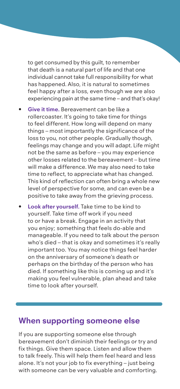to get consumed by this guilt, to remember that death is a natural part of life and that one individual cannot take full responsibility for what has happened. Also, it is natural to sometimes feel happy after a loss, even though we are also experiencing pain at the same time – and that's okay!

- **Give it time.** Bereavement can be like a rollercoaster. It's going to take time for things to feel different. How long will depend on many things – most importantly the significance of the loss to you, not other people. Gradually though, feelings may change and you will adapt. Life might not be the same as before – you may experience other losses related to the bereavement – but time will make a difference. We may also need to take time to reflect, to appreciate what has changed. This kind of reflection can often bring a whole new level of perspective for some, and can even be a positive to take away from the grieving process.
- **Look after yourself.** Take time to be kind to yourself. Take time off work if you need to or have a break. Engage in an activity that you enjoy; something that feels do-able and manageable. If you need to talk about the person who's died – that is okay and sometimes it's really important too. You may notice things feel harder on the anniversary of someone's death or perhaps on the birthday of the person who has died. If something like this is coming up and it's making you feel vulnerable, plan ahead and take time to look after yourself.

## **When supporting someone else**

If you are supporting someone else through bereavement don't diminish their feelings or try and fix things. Give them space. Listen and allow them to talk freely. This will help them feel heard and less alone. It's not your job to fix everything – just being with someone can be very valuable and comforting.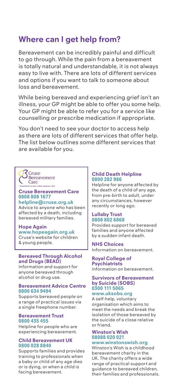## **Where can I get help from?**

Bereavement can be incredibly painful and difficult to go through. While the pain from a bereavement is totally natural and understandable, it is not always easy to live with. There are lots of different services and options if you want to talk to someone about loss and bereavement.

While being bereaved and experiencing grief isn't an illness, your GP might be able to offer you some help. Your GP might be able to refer you for a service like counselling or prescribe medication if appropriate.

You don't need to see your doctor to access help as there are lots of different services that offer help. The list below outlines some different services that are available for you.



#### **Cruse Bereavement Care 0808 808 1677 helpline@cruse.org.uk**

Advice to anyone who has been affected by a death, including bereaved military families.

#### **Hope Again**

**www.hopeagain.org.uk** Cruse's website for children & young people.

#### **Bereaved Through Alcohol and Drugs (BEAD)**

Information and support for anyone bereaved through alcohol or drug use.

#### **Bereavement Advice Centre 0800 634 9494**

Supports bereaved people on a range of practical issues via a single freephone number.

#### **Bereavement Trust 0800 435 455**

Helpline for people who are experiencing bereavement.

#### **Child Bereavement UK 0800 028 8840**

Supports families and provides training to professionals when a baby or child of any age dies or is dying, or when a child is facing bereavement.

#### **Child Death Helpline 0800 282 986**

Helpline for anyone affected by the death of a child of any age, from pre-birth to adult, under any circumstances, however recently or long ago.

#### **Lullaby Trust 0808 802 6868**

Provides support for bereaved families and anyone affected by a sudden infant death.

### **NHS Choices**

Information on bereavement.

#### **Royal College of Psychiatrists**

Information on bereavement.

#### **Survivors of Bereavement by Suicide (SOBS) 0300 111 5065**

**www.uksobs.org** 

A self-help, voluntary organisation which aims to meet the needs and break the isolation of those bereaved by the suicide of a close relative or friend.

#### **Winston's Wish 08088 020 021**

#### **www.winstonswish.org**

Winston's Wish is a childhood bereavement charity in the UK. The charity offers a wide range of practical support and guidance to bereaved children, their families and professionals.